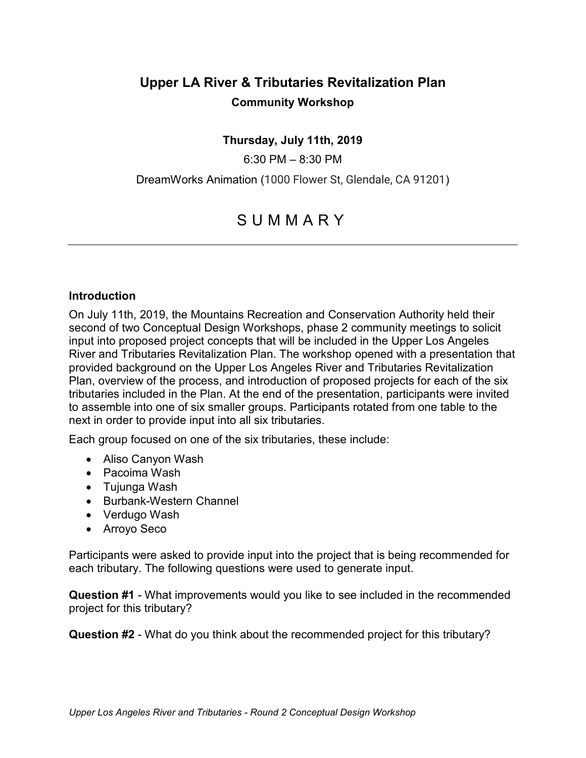# **Upper LA River & Tributaries Revitalization Plan Community Workshop**

#### **Thursday, July 11th, 2019**

6:30 PM – 8:30 PM

DreamWorks Animation (1000 Flower St, Glendale, CA 91201)

# SUMMARY

#### **Introduction**

On July 11th, 2019, the Mountains Recreation and Conservation Authority held their second of two Conceptual Design Workshops, phase 2 community meetings to solicit input into proposed project concepts that will be included in the Upper Los Angeles River and Tributaries Revitalization Plan. The workshop opened with a presentation that provided background on the Upper Los Angeles River and Tributaries Revitalization Plan, overview of the process, and introduction of proposed projects for each of the six tributaries included in the Plan. At the end of the presentation, participants were invited to assemble into one of six smaller groups. Participants rotated from one table to the next in order to provide input into all six tributaries.

Each group focused on one of the six tributaries, these include:

- Aliso Canyon Wash
- Pacoima Wash
- Tujunga Wash
- Burbank-Western Channel
- Verdugo Wash
- Arroyo Seco

Participants were asked to provide input into the project that is being recommended for each tributary. The following questions were used to generate input.

**Question #1** - What improvements would you like to see included in the recommended project for this tributary?

**Question #2** - What do you think about the recommended project for this tributary?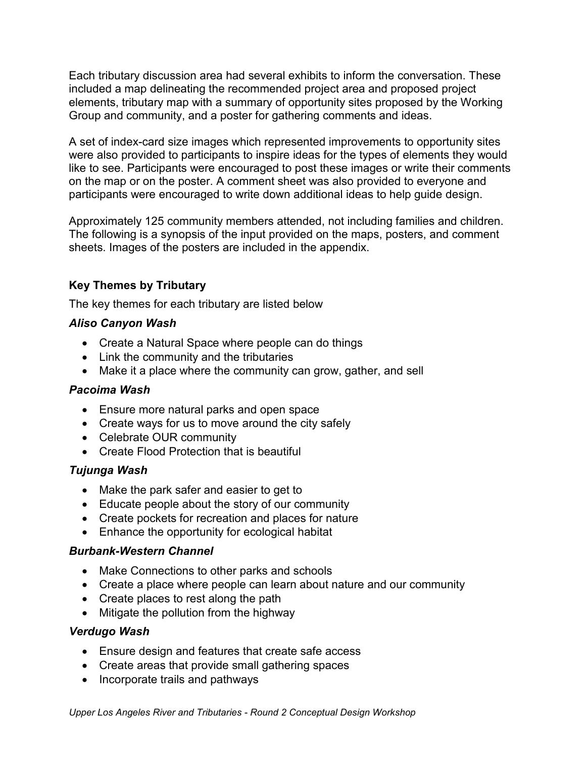Each tributary discussion area had several exhibits to inform the conversation. These included a map delineating the recommended project area and proposed project elements, tributary map with a summary of opportunity sites proposed by the Working Group and community, and a poster for gathering comments and ideas.

A set of index-card size images which represented improvements to opportunity sites were also provided to participants to inspire ideas for the types of elements they would like to see. Participants were encouraged to post these images or write their comments on the map or on the poster. A comment sheet was also provided to everyone and participants were encouraged to write down additional ideas to help guide design.

Approximately 125 community members attended, not including families and children. The following is a synopsis of the input provided on the maps, posters, and comment sheets. Images of the posters are included in the appendix.

# **Key Themes by Tributary**

The key themes for each tributary are listed below

#### *Aliso Canyon Wash*

- Create a Natural Space where people can do things
- Link the community and the tributaries
- Make it a place where the community can grow, gather, and sell

#### *Pacoima Wash*

- Ensure more natural parks and open space
- Create ways for us to move around the city safely
- Celebrate OUR community
- Create Flood Protection that is beautiful

### *Tujunga Wash*

- Make the park safer and easier to get to
- Educate people about the story of our community
- Create pockets for recreation and places for nature
- Enhance the opportunity for ecological habitat

#### *Burbank-Western Channel*

- Make Connections to other parks and schools
- Create a place where people can learn about nature and our community
- Create places to rest along the path
- Mitigate the pollution from the highway

#### *Verdugo Wash*

- Ensure design and features that create safe access
- Create areas that provide small gathering spaces
- Incorporate trails and pathways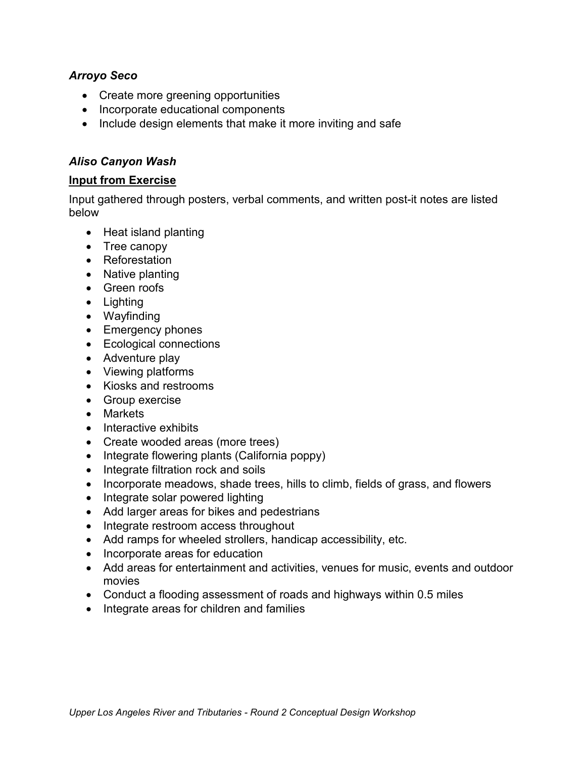#### *Arroyo Seco*

- Create more greening opportunities
- Incorporate educational components
- Include design elements that make it more inviting and safe

#### *Aliso Canyon Wash*

#### **Input from Exercise**

- Heat island planting
- Tree canopy
- Reforestation
- Native planting
- Green roofs
- Lighting
- Wayfinding
- Emergency phones
- Ecological connections
- Adventure play
- Viewing platforms
- Kiosks and restrooms
- Group exercise
- Markets
- Interactive exhibits
- Create wooded areas (more trees)
- Integrate flowering plants (California poppy)
- Integrate filtration rock and soils
- Incorporate meadows, shade trees, hills to climb, fields of grass, and flowers
- Integrate solar powered lighting
- Add larger areas for bikes and pedestrians
- Integrate restroom access throughout
- Add ramps for wheeled strollers, handicap accessibility, etc.
- Incorporate areas for education
- Add areas for entertainment and activities, venues for music, events and outdoor movies
- Conduct a flooding assessment of roads and highways within 0.5 miles
- Integrate areas for children and families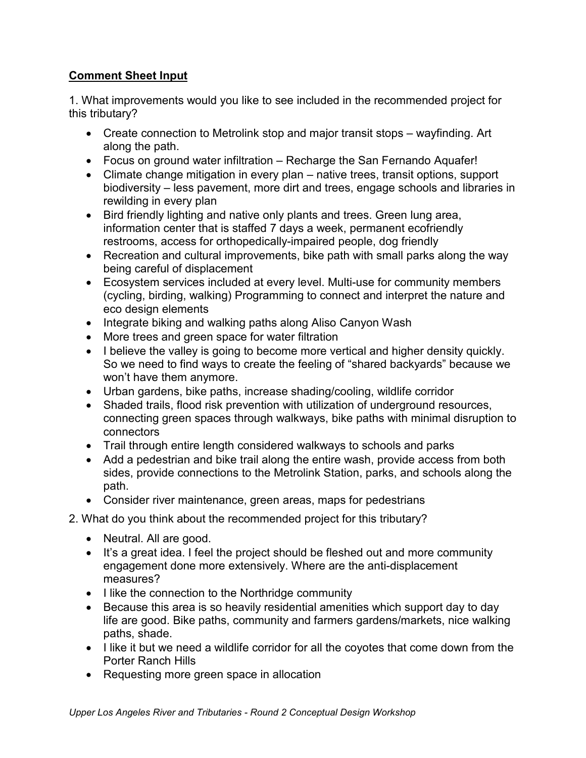1. What improvements would you like to see included in the recommended project for this tributary?

- Create connection to Metrolink stop and major transit stops wayfinding. Art along the path.
- Focus on ground water infiltration Recharge the San Fernando Aquafer!
- Climate change mitigation in every plan native trees, transit options, support biodiversity – less pavement, more dirt and trees, engage schools and libraries in rewilding in every plan
- Bird friendly lighting and native only plants and trees. Green lung area, information center that is staffed 7 days a week, permanent ecofriendly restrooms, access for orthopedically-impaired people, dog friendly
- Recreation and cultural improvements, bike path with small parks along the way being careful of displacement
- Ecosystem services included at every level. Multi-use for community members (cycling, birding, walking) Programming to connect and interpret the nature and eco design elements
- Integrate biking and walking paths along Aliso Canyon Wash
- More trees and green space for water filtration
- I believe the valley is going to become more vertical and higher density quickly. So we need to find ways to create the feeling of "shared backyards" because we won't have them anymore.
- Urban gardens, bike paths, increase shading/cooling, wildlife corridor
- Shaded trails, flood risk prevention with utilization of underground resources, connecting green spaces through walkways, bike paths with minimal disruption to connectors
- Trail through entire length considered walkways to schools and parks
- Add a pedestrian and bike trail along the entire wash, provide access from both sides, provide connections to the Metrolink Station, parks, and schools along the path.
- Consider river maintenance, green areas, maps for pedestrians
- 2. What do you think about the recommended project for this tributary?
	- Neutral. All are good.
	- It's a great idea. I feel the project should be fleshed out and more community engagement done more extensively. Where are the anti-displacement measures?
	- I like the connection to the Northridge community
	- Because this area is so heavily residential amenities which support day to day life are good. Bike paths, community and farmers gardens/markets, nice walking paths, shade.
	- I like it but we need a wildlife corridor for all the coyotes that come down from the Porter Ranch Hills
	- Requesting more green space in allocation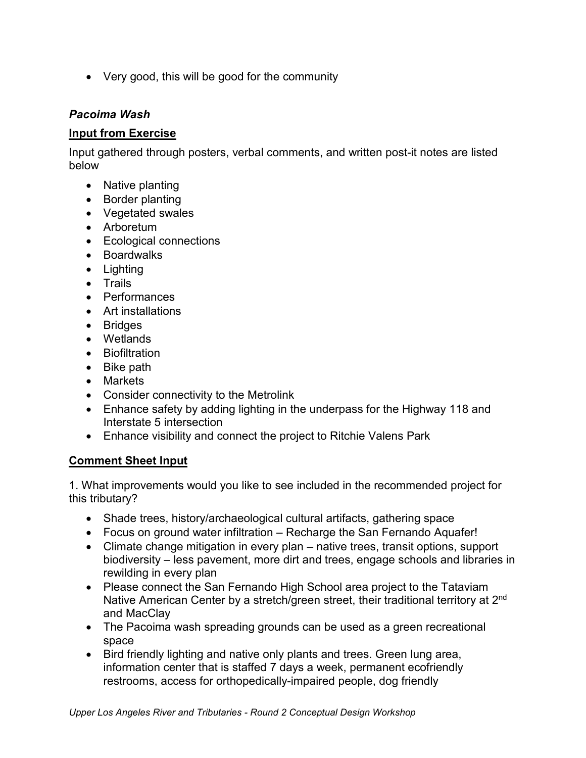• Very good, this will be good for the community

### *Pacoima Wash*

#### **Input from Exercise**

Input gathered through posters, verbal comments, and written post-it notes are listed below

- Native planting
- Border planting
- Vegetated swales
- Arboretum
- Ecological connections
- Boardwalks
- Lighting
- Trails
- Performances
- Art installations
- Bridges
- Wetlands
- Biofiltration
- Bike path
- Markets
- Consider connectivity to the Metrolink
- Enhance safety by adding lighting in the underpass for the Highway 118 and Interstate 5 intersection
- Enhance visibility and connect the project to Ritchie Valens Park

# **Comment Sheet Input**

1. What improvements would you like to see included in the recommended project for this tributary?

- Shade trees, history/archaeological cultural artifacts, gathering space
- Focus on ground water infiltration Recharge the San Fernando Aquafer!
- Climate change mitigation in every plan native trees, transit options, support biodiversity – less pavement, more dirt and trees, engage schools and libraries in rewilding in every plan
- Please connect the San Fernando High School area project to the Tataviam Native American Center by a stretch/green street, their traditional territory at 2<sup>nd</sup> and MacClay
- The Pacoima wash spreading grounds can be used as a green recreational space
- Bird friendly lighting and native only plants and trees. Green lung area, information center that is staffed 7 days a week, permanent ecofriendly restrooms, access for orthopedically-impaired people, dog friendly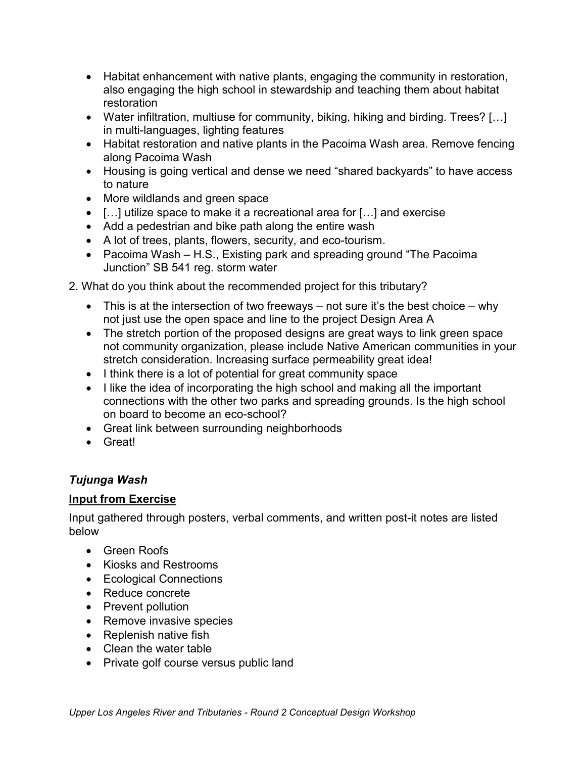- Habitat enhancement with native plants, engaging the community in restoration, also engaging the high school in stewardship and teaching them about habitat restoration
- Water infiltration, multiuse for community, biking, hiking and birding. Trees? […] in multi-languages, lighting features
- Habitat restoration and native plants in the Pacoima Wash area. Remove fencing along Pacoima Wash
- Housing is going vertical and dense we need "shared backyards" to have access to nature
- More wildlands and green space
- […] utilize space to make it a recreational area for […] and exercise
- Add a pedestrian and bike path along the entire wash
- A lot of trees, plants, flowers, security, and eco-tourism.
- Pacoima Wash H.S., Existing park and spreading ground "The Pacoima" Junction" SB 541 reg. storm water
- 2. What do you think about the recommended project for this tributary?
	- This is at the intersection of two freeways not sure it's the best choice why not just use the open space and line to the project Design Area A
	- The stretch portion of the proposed designs are great ways to link green space not community organization, please include Native American communities in your stretch consideration. Increasing surface permeability great idea!
	- I think there is a lot of potential for great community space
	- I like the idea of incorporating the high school and making all the important connections with the other two parks and spreading grounds. Is the high school on board to become an eco-school?
	- Great link between surrounding neighborhoods
	- Great!

# *Tujunga Wash*

### **Input from Exercise**

- Green Roofs
- Kiosks and Restrooms
- Ecological Connections
- Reduce concrete
- Prevent pollution
- Remove invasive species
- Replenish native fish
- Clean the water table
- Private golf course versus public land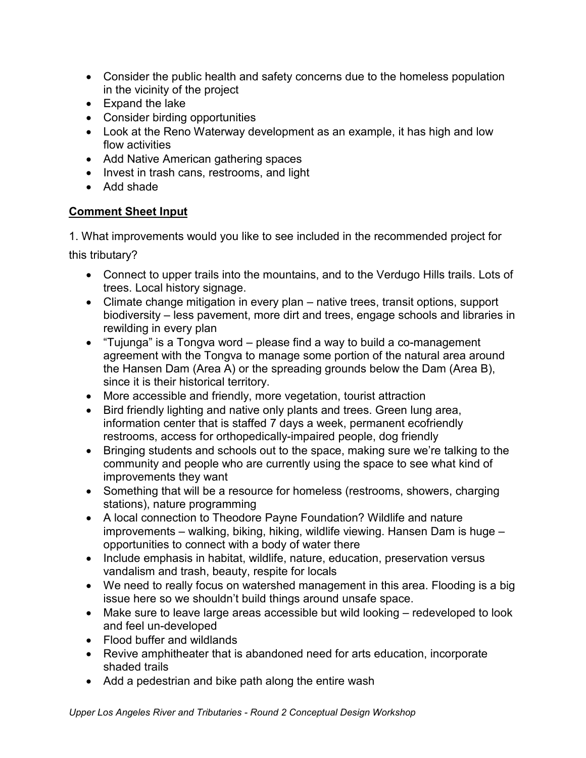- Consider the public health and safety concerns due to the homeless population in the vicinity of the project
- Expand the lake
- Consider birding opportunities
- Look at the Reno Waterway development as an example, it has high and low flow activities
- Add Native American gathering spaces
- Invest in trash cans, restrooms, and light
- Add shade

1. What improvements would you like to see included in the recommended project for

this tributary?

- Connect to upper trails into the mountains, and to the Verdugo Hills trails. Lots of trees. Local history signage.
- Climate change mitigation in every plan native trees, transit options, support biodiversity – less pavement, more dirt and trees, engage schools and libraries in rewilding in every plan
- "Tujunga" is a Tongva word please find a way to build a co-management agreement with the Tongva to manage some portion of the natural area around the Hansen Dam (Area A) or the spreading grounds below the Dam (Area B), since it is their historical territory.
- More accessible and friendly, more vegetation, tourist attraction
- Bird friendly lighting and native only plants and trees. Green lung area, information center that is staffed 7 days a week, permanent ecofriendly restrooms, access for orthopedically-impaired people, dog friendly
- Bringing students and schools out to the space, making sure we're talking to the community and people who are currently using the space to see what kind of improvements they want
- Something that will be a resource for homeless (restrooms, showers, charging stations), nature programming
- A local connection to Theodore Payne Foundation? Wildlife and nature improvements – walking, biking, hiking, wildlife viewing. Hansen Dam is huge – opportunities to connect with a body of water there
- Include emphasis in habitat, wildlife, nature, education, preservation versus vandalism and trash, beauty, respite for locals
- We need to really focus on watershed management in this area. Flooding is a big issue here so we shouldn't build things around unsafe space.
- Make sure to leave large areas accessible but wild looking redeveloped to look and feel un-developed
- Flood buffer and wildlands
- Revive amphitheater that is abandoned need for arts education, incorporate shaded trails
- Add a pedestrian and bike path along the entire wash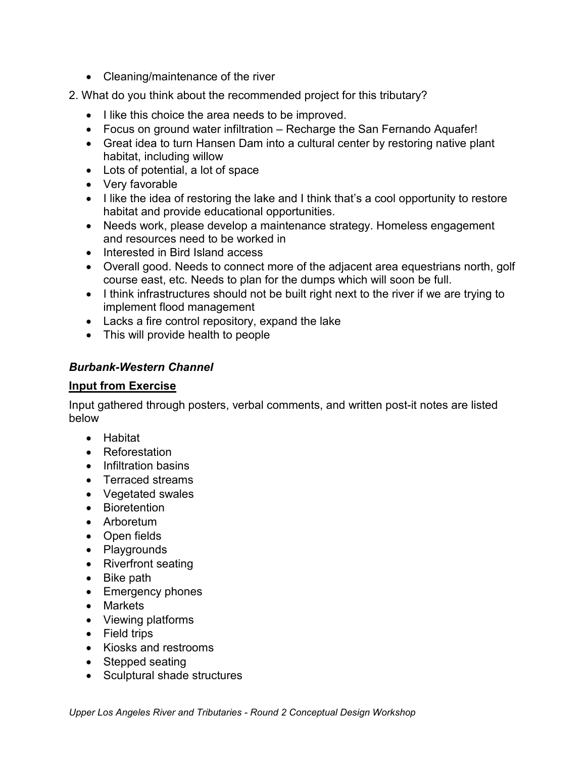- Cleaning/maintenance of the river
- 2. What do you think about the recommended project for this tributary?
	- I like this choice the area needs to be improved.
	- Focus on ground water infiltration Recharge the San Fernando Aquafer!
	- Great idea to turn Hansen Dam into a cultural center by restoring native plant habitat, including willow
	- Lots of potential, a lot of space
	- Very favorable
	- I like the idea of restoring the lake and I think that's a cool opportunity to restore habitat and provide educational opportunities.
	- Needs work, please develop a maintenance strategy. Homeless engagement and resources need to be worked in
	- Interested in Bird Island access
	- Overall good. Needs to connect more of the adjacent area equestrians north, golf course east, etc. Needs to plan for the dumps which will soon be full.
	- I think infrastructures should not be built right next to the river if we are trying to implement flood management
	- Lacks a fire control repository, expand the lake
	- This will provide health to people

### *Burbank-Western Channel*

### **Input from Exercise**

- Habitat
- Reforestation
- Infiltration basins
- Terraced streams
- Vegetated swales
- Bioretention
- Arboretum
- Open fields
- Playgrounds
- Riverfront seating
- Bike path
- Emergency phones
- Markets
- Viewing platforms
- Field trips
- Kiosks and restrooms
- Stepped seating
- Sculptural shade structures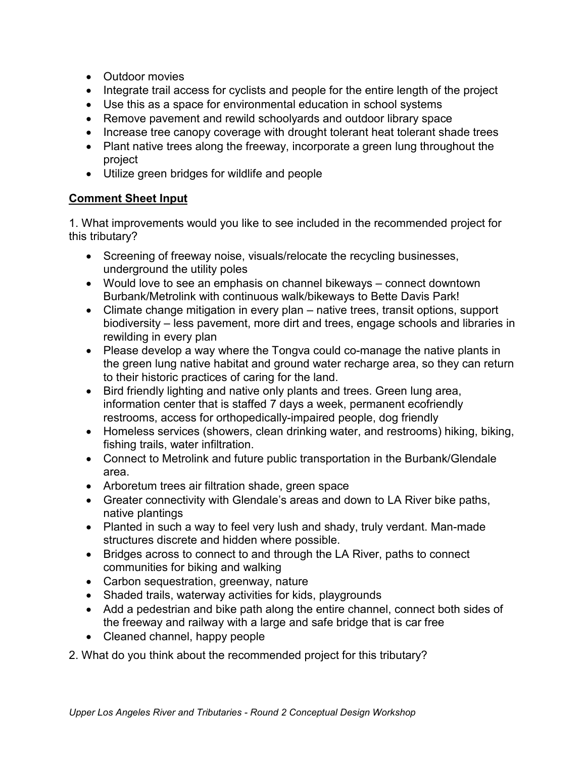- Outdoor movies
- Integrate trail access for cyclists and people for the entire length of the project
- Use this as a space for environmental education in school systems
- Remove pavement and rewild schoolyards and outdoor library space
- Increase tree canopy coverage with drought tolerant heat tolerant shade trees
- Plant native trees along the freeway, incorporate a green lung throughout the project
- Utilize green bridges for wildlife and people

1. What improvements would you like to see included in the recommended project for this tributary?

- Screening of freeway noise, visuals/relocate the recycling businesses, underground the utility poles
- Would love to see an emphasis on channel bikeways connect downtown Burbank/Metrolink with continuous walk/bikeways to Bette Davis Park!
- Climate change mitigation in every plan native trees, transit options, support biodiversity – less pavement, more dirt and trees, engage schools and libraries in rewilding in every plan
- Please develop a way where the Tongva could co-manage the native plants in the green lung native habitat and ground water recharge area, so they can return to their historic practices of caring for the land.
- Bird friendly lighting and native only plants and trees. Green lung area, information center that is staffed 7 days a week, permanent ecofriendly restrooms, access for orthopedically-impaired people, dog friendly
- Homeless services (showers, clean drinking water, and restrooms) hiking, biking, fishing trails, water infiltration.
- Connect to Metrolink and future public transportation in the Burbank/Glendale area.
- Arboretum trees air filtration shade, green space
- Greater connectivity with Glendale's areas and down to LA River bike paths, native plantings
- Planted in such a way to feel very lush and shady, truly verdant. Man-made structures discrete and hidden where possible.
- Bridges across to connect to and through the LA River, paths to connect communities for biking and walking
- Carbon sequestration, greenway, nature
- Shaded trails, waterway activities for kids, playgrounds
- Add a pedestrian and bike path along the entire channel, connect both sides of the freeway and railway with a large and safe bridge that is car free
- Cleaned channel, happy people

2. What do you think about the recommended project for this tributary?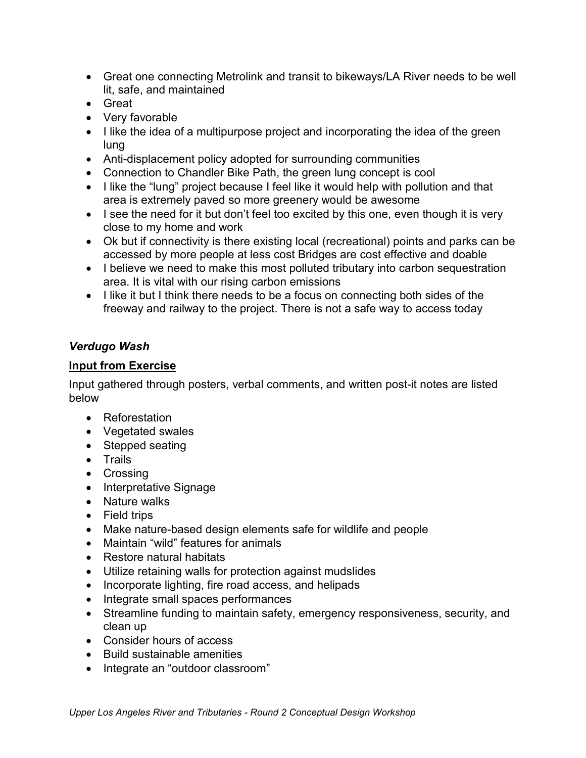- Great one connecting Metrolink and transit to bikeways/LA River needs to be well lit, safe, and maintained
- Great
- Very favorable
- I like the idea of a multipurpose project and incorporating the idea of the green lung
- Anti-displacement policy adopted for surrounding communities
- Connection to Chandler Bike Path, the green lung concept is cool
- I like the "lung" project because I feel like it would help with pollution and that area is extremely paved so more greenery would be awesome
- I see the need for it but don't feel too excited by this one, even though it is very close to my home and work
- Ok but if connectivity is there existing local (recreational) points and parks can be accessed by more people at less cost Bridges are cost effective and doable
- I believe we need to make this most polluted tributary into carbon sequestration area. It is vital with our rising carbon emissions
- I like it but I think there needs to be a focus on connecting both sides of the freeway and railway to the project. There is not a safe way to access today

### *Verdugo Wash*

### **Input from Exercise**

- Reforestation
- Vegetated swales
- Stepped seating
- Trails
- Crossing
- Interpretative Signage
- Nature walks
- Field trips
- Make nature-based design elements safe for wildlife and people
- Maintain "wild" features for animals
- Restore natural habitats
- Utilize retaining walls for protection against mudslides
- Incorporate lighting, fire road access, and helipads
- Integrate small spaces performances
- Streamline funding to maintain safety, emergency responsiveness, security, and clean up
- Consider hours of access
- Build sustainable amenities
- Integrate an "outdoor classroom"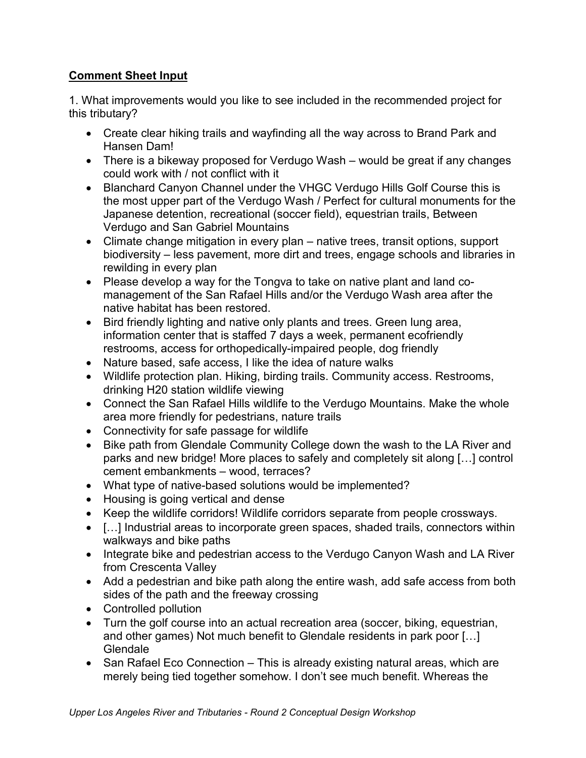1. What improvements would you like to see included in the recommended project for this tributary?

- Create clear hiking trails and wayfinding all the way across to Brand Park and Hansen Dam!
- There is a bikeway proposed for Verdugo Wash would be great if any changes could work with / not conflict with it
- Blanchard Canyon Channel under the VHGC Verdugo Hills Golf Course this is the most upper part of the Verdugo Wash / Perfect for cultural monuments for the Japanese detention, recreational (soccer field), equestrian trails, Between Verdugo and San Gabriel Mountains
- Climate change mitigation in every plan native trees, transit options, support biodiversity – less pavement, more dirt and trees, engage schools and libraries in rewilding in every plan
- Please develop a way for the Tongva to take on native plant and land comanagement of the San Rafael Hills and/or the Verdugo Wash area after the native habitat has been restored.
- Bird friendly lighting and native only plants and trees. Green lung area, information center that is staffed 7 days a week, permanent ecofriendly restrooms, access for orthopedically-impaired people, dog friendly
- Nature based, safe access, I like the idea of nature walks
- Wildlife protection plan. Hiking, birding trails. Community access. Restrooms, drinking H20 station wildlife viewing
- Connect the San Rafael Hills wildlife to the Verdugo Mountains. Make the whole area more friendly for pedestrians, nature trails
- Connectivity for safe passage for wildlife
- Bike path from Glendale Community College down the wash to the LA River and parks and new bridge! More places to safely and completely sit along […] control cement embankments – wood, terraces?
- What type of native-based solutions would be implemented?
- Housing is going vertical and dense
- Keep the wildlife corridors! Wildlife corridors separate from people crossways.
- […] Industrial areas to incorporate green spaces, shaded trails, connectors within walkways and bike paths
- Integrate bike and pedestrian access to the Verdugo Canyon Wash and LA River from Crescenta Valley
- Add a pedestrian and bike path along the entire wash, add safe access from both sides of the path and the freeway crossing
- Controlled pollution
- Turn the golf course into an actual recreation area (soccer, biking, equestrian, and other games) Not much benefit to Glendale residents in park poor […] Glendale
- San Rafael Eco Connection This is already existing natural areas, which are merely being tied together somehow. I don't see much benefit. Whereas the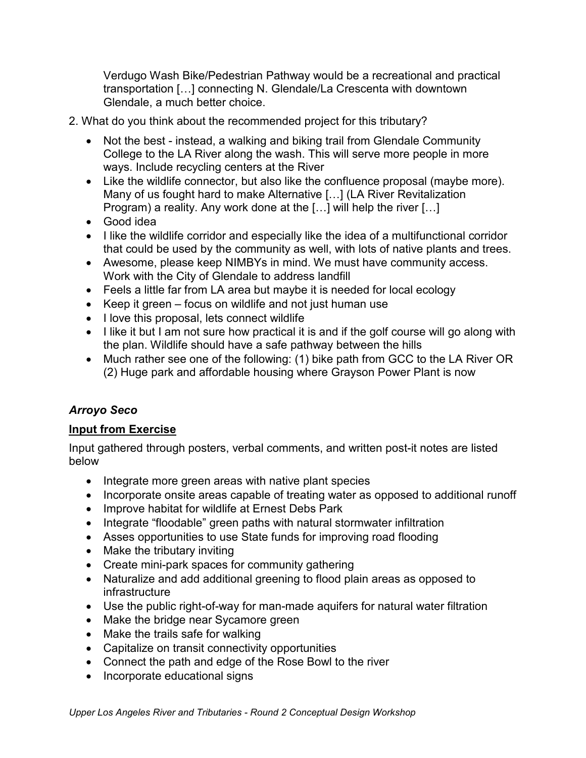Verdugo Wash Bike/Pedestrian Pathway would be a recreational and practical transportation […] connecting N. Glendale/La Crescenta with downtown Glendale, a much better choice.

- 2. What do you think about the recommended project for this tributary?
	- Not the best instead, a walking and biking trail from Glendale Community College to the LA River along the wash. This will serve more people in more ways. Include recycling centers at the River
	- Like the wildlife connector, but also like the confluence proposal (maybe more). Many of us fought hard to make Alternative […] (LA River Revitalization Program) a reality. Any work done at the […] will help the river […]
	- Good idea
	- I like the wildlife corridor and especially like the idea of a multifunctional corridor that could be used by the community as well, with lots of native plants and trees.
	- Awesome, please keep NIMBYs in mind. We must have community access. Work with the City of Glendale to address landfill
	- Feels a little far from LA area but maybe it is needed for local ecology
	- Keep it green focus on wildlife and not just human use
	- I love this proposal, lets connect wildlife
	- I like it but I am not sure how practical it is and if the golf course will go along with the plan. Wildlife should have a safe pathway between the hills
	- Much rather see one of the following: (1) bike path from GCC to the LA River OR (2) Huge park and affordable housing where Grayson Power Plant is now

# *Arroyo Seco*

# **Input from Exercise**

- Integrate more green areas with native plant species
- Incorporate onsite areas capable of treating water as opposed to additional runoff
- Improve habitat for wildlife at Ernest Debs Park
- Integrate "floodable" green paths with natural stormwater infiltration
- Asses opportunities to use State funds for improving road flooding
- Make the tributary inviting
- Create mini-park spaces for community gathering
- Naturalize and add additional greening to flood plain areas as opposed to infrastructure
- Use the public right-of-way for man-made aquifers for natural water filtration
- Make the bridge near Sycamore green
- Make the trails safe for walking
- Capitalize on transit connectivity opportunities
- Connect the path and edge of the Rose Bowl to the river
- Incorporate educational signs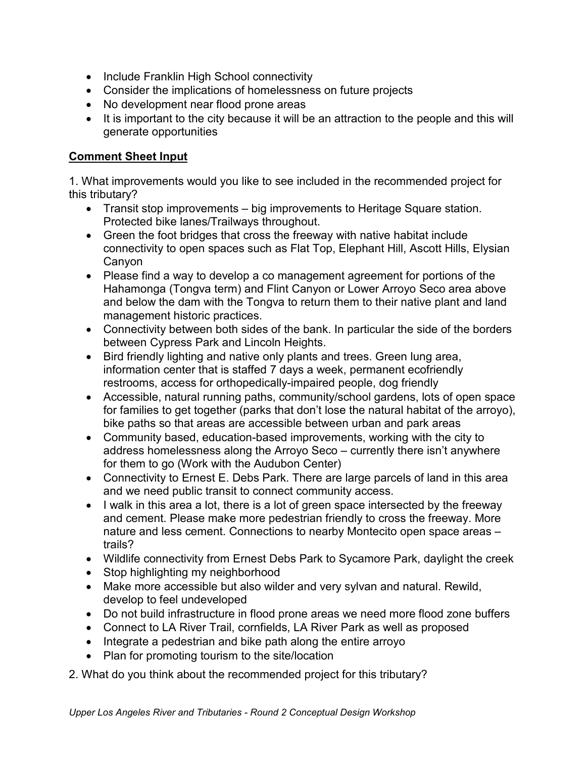- Include Franklin High School connectivity
- Consider the implications of homelessness on future projects
- No development near flood prone areas
- It is important to the city because it will be an attraction to the people and this will generate opportunities

1. What improvements would you like to see included in the recommended project for this tributary?

- Transit stop improvements big improvements to Heritage Square station. Protected bike lanes/Trailways throughout.
- Green the foot bridges that cross the freeway with native habitat include connectivity to open spaces such as Flat Top, Elephant Hill, Ascott Hills, Elysian Canyon
- Please find a way to develop a co management agreement for portions of the Hahamonga (Tongva term) and Flint Canyon or Lower Arroyo Seco area above and below the dam with the Tongva to return them to their native plant and land management historic practices.
- Connectivity between both sides of the bank. In particular the side of the borders between Cypress Park and Lincoln Heights.
- Bird friendly lighting and native only plants and trees. Green lung area, information center that is staffed 7 days a week, permanent ecofriendly restrooms, access for orthopedically-impaired people, dog friendly
- Accessible, natural running paths, community/school gardens, lots of open space for families to get together (parks that don't lose the natural habitat of the arroyo), bike paths so that areas are accessible between urban and park areas
- Community based, education-based improvements, working with the city to address homelessness along the Arroyo Seco – currently there isn't anywhere for them to go (Work with the Audubon Center)
- Connectivity to Ernest E. Debs Park. There are large parcels of land in this area and we need public transit to connect community access.
- I walk in this area a lot, there is a lot of green space intersected by the freeway and cement. Please make more pedestrian friendly to cross the freeway. More nature and less cement. Connections to nearby Montecito open space areas – trails?
- Wildlife connectivity from Ernest Debs Park to Sycamore Park, daylight the creek
- Stop highlighting my neighborhood
- Make more accessible but also wilder and very sylvan and natural. Rewild, develop to feel undeveloped
- Do not build infrastructure in flood prone areas we need more flood zone buffers
- Connect to LA River Trail, cornfields, LA River Park as well as proposed
- Integrate a pedestrian and bike path along the entire arroyo
- Plan for promoting tourism to the site/location

2. What do you think about the recommended project for this tributary?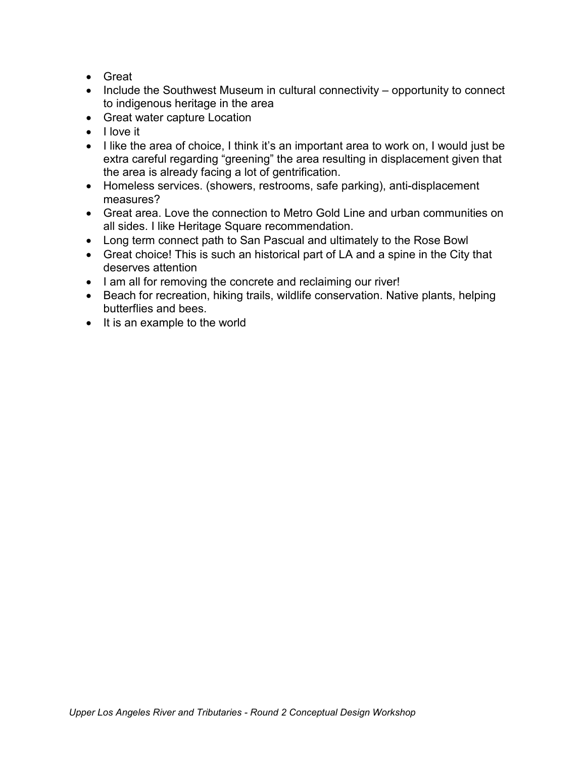- Great
- Include the Southwest Museum in cultural connectivity opportunity to connect to indigenous heritage in the area
- Great water capture Location
- I love it
- I like the area of choice, I think it's an important area to work on, I would just be extra careful regarding "greening" the area resulting in displacement given that the area is already facing a lot of gentrification.
- Homeless services. (showers, restrooms, safe parking), anti-displacement measures?
- Great area. Love the connection to Metro Gold Line and urban communities on all sides. I like Heritage Square recommendation.
- Long term connect path to San Pascual and ultimately to the Rose Bowl
- Great choice! This is such an historical part of LA and a spine in the City that deserves attention
- I am all for removing the concrete and reclaiming our river!
- Beach for recreation, hiking trails, wildlife conservation. Native plants, helping butterflies and bees.
- It is an example to the world